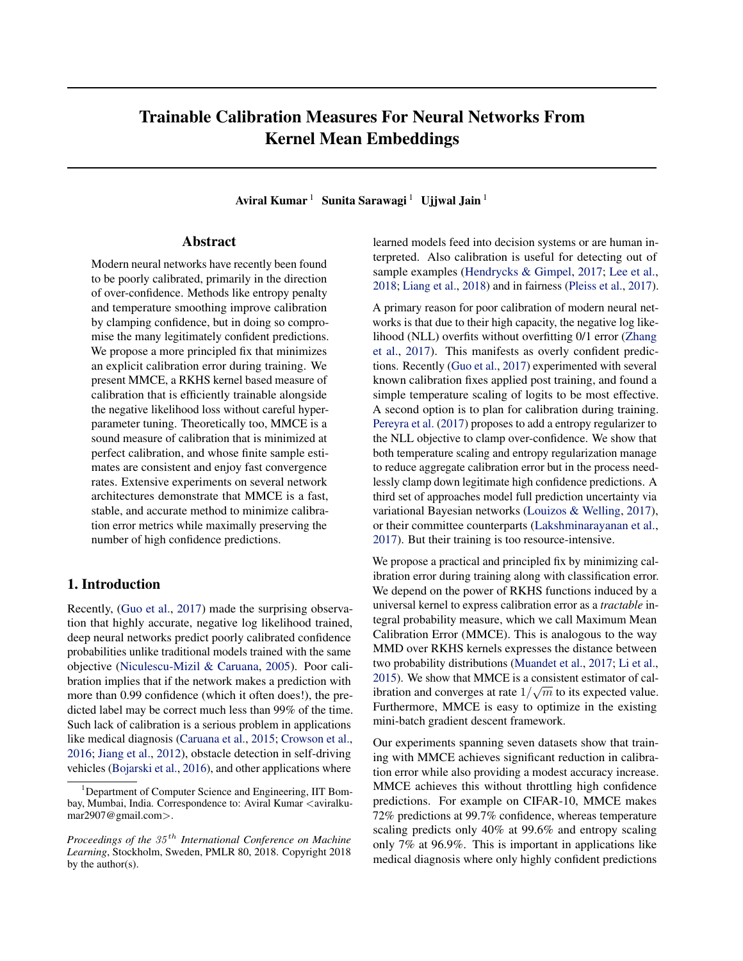# Trainable Calibration Measures For Neural Networks From Kernel Mean Embeddings

Aviral Kumar<sup>1</sup> Sunita Sarawagi<sup>1</sup> Ujjwal Jain<sup>1</sup>

## Abstract

Modern neural networks have recently been found to be poorly calibrated, primarily in the direction of over-confidence. Methods like entropy penalty and temperature smoothing improve calibration by clamping confidence, but in doing so compromise the many legitimately confident predictions. We propose a more principled fix that minimizes an explicit calibration error during training. We present MMCE, a RKHS kernel based measure of calibration that is efficiently trainable alongside the negative likelihood loss without careful hyperparameter tuning. Theoretically too, MMCE is a sound measure of calibration that is minimized at perfect calibration, and whose finite sample estimates are consistent and enjoy fast convergence rates. Extensive experiments on several network architectures demonstrate that MMCE is a fast, stable, and accurate method to minimize calibration error metrics while maximally preserving the number of high confidence predictions.

## 1. Introduction

Recently, [\(Guo et al.,](#page-8-0) [2017\)](#page-8-0) made the surprising observation that highly accurate, negative log likelihood trained, deep neural networks predict poorly calibrated confidence probabilities unlike traditional models trained with the same objective [\(Niculescu-Mizil & Caruana,](#page-9-0) [2005\)](#page-9-0). Poor calibration implies that if the network makes a prediction with more than 0.99 confidence (which it often does!), the predicted label may be correct much less than 99% of the time. Such lack of calibration is a serious problem in applications like medical diagnosis [\(Caruana et al.,](#page-8-0) [2015;](#page-8-0) [Crowson et al.,](#page-8-0) [2016;](#page-8-0) [Jiang et al.,](#page-8-0) [2012\)](#page-8-0), obstacle detection in self-driving vehicles [\(Bojarski et al.,](#page-8-0) [2016\)](#page-8-0), and other applications where

learned models feed into decision systems or are human interpreted. Also calibration is useful for detecting out of sample examples [\(Hendrycks & Gimpel,](#page-8-0) [2017;](#page-8-0) [Lee et al.,](#page-8-0) [2018;](#page-8-0) [Liang et al.,](#page-8-0) [2018\)](#page-8-0) and in fairness [\(Pleiss et al.,](#page-9-0) [2017\)](#page-9-0).

A primary reason for poor calibration of modern neural networks is that due to their high capacity, the negative log likelihood (NLL) overfits without overfitting 0/1 error [\(Zhang](#page-9-0) [et al.,](#page-9-0) [2017\)](#page-9-0). This manifests as overly confident predictions. Recently [\(Guo et al.,](#page-8-0) [2017\)](#page-8-0) experimented with several known calibration fixes applied post training, and found a simple temperature scaling of logits to be most effective. A second option is to plan for calibration during training. [Pereyra et al.](#page-9-0) [\(2017\)](#page-9-0) proposes to add a entropy regularizer to the NLL objective to clamp over-confidence. We show that both temperature scaling and entropy regularization manage to reduce aggregate calibration error but in the process needlessly clamp down legitimate high confidence predictions. A third set of approaches model full prediction uncertainty via variational Bayesian networks [\(Louizos & Welling,](#page-9-0) [2017\)](#page-9-0), or their committee counterparts [\(Lakshminarayanan et al.,](#page-8-0) [2017\)](#page-8-0). But their training is too resource-intensive.

We propose a practical and principled fix by minimizing calibration error during training along with classification error. We depend on the power of RKHS functions induced by a universal kernel to express calibration error as a *tractable* integral probability measure, which we call Maximum Mean Calibration Error (MMCE). This is analogous to the way MMD over RKHS kernels expresses the distance between two probability distributions [\(Muandet et al.,](#page-9-0) [2017;](#page-9-0) [Li et al.,](#page-8-0) [2015\)](#page-8-0). We show that MMCE is a consistent estimator of calibration and converges at rate  $1/\sqrt{m}$  to its expected value. Furthermore, MMCE is easy to optimize in the existing mini-batch gradient descent framework.

Our experiments spanning seven datasets show that training with MMCE achieves significant reduction in calibration error while also providing a modest accuracy increase. MMCE achieves this without throttling high confidence predictions. For example on CIFAR-10, MMCE makes 72% predictions at 99.7% confidence, whereas temperature scaling predicts only 40% at 99.6% and entropy scaling only 7% at 96.9%. This is important in applications like medical diagnosis where only highly confident predictions

<sup>&</sup>lt;sup>1</sup>Department of Computer Science and Engineering, IIT Bombay, Mumbai, India. Correspondence to: Aviral Kumar <aviralkumar2907@gmail.com>.

*Proceedings of the* 35 th *International Conference on Machine Learning*, Stockholm, Sweden, PMLR 80, 2018. Copyright 2018 by the author(s).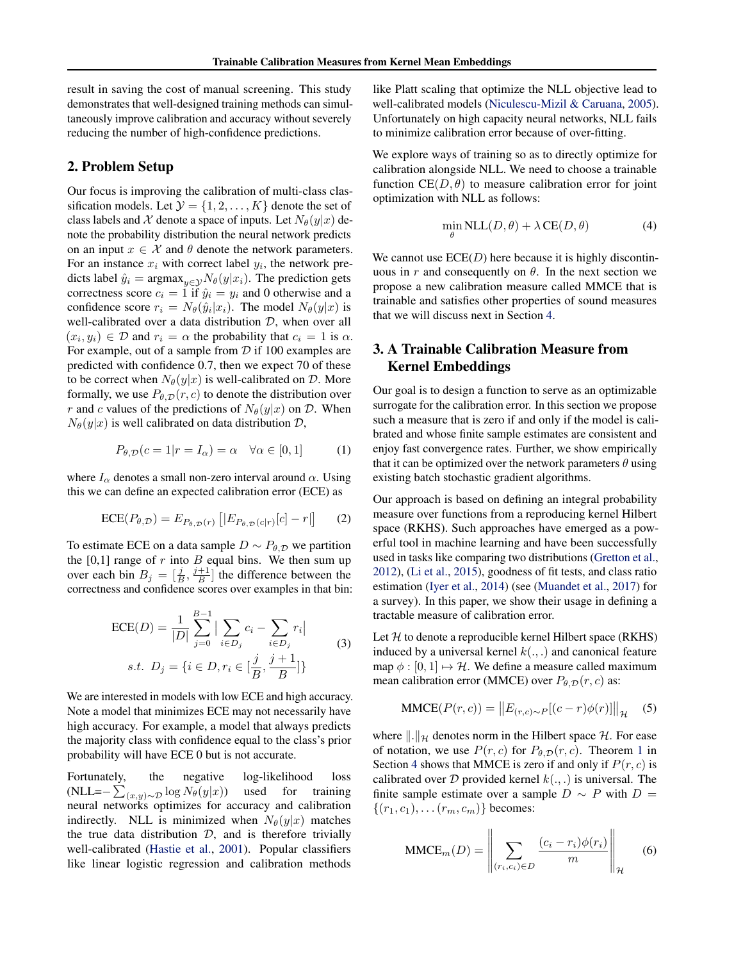<span id="page-1-0"></span>result in saving the cost of manual screening. This study demonstrates that well-designed training methods can simultaneously improve calibration and accuracy without severely reducing the number of high-confidence predictions.

## 2. Problem Setup

Our focus is improving the calibration of multi-class classification models. Let  $\mathcal{Y} = \{1, 2, ..., K\}$  denote the set of class labels and X denote a space of inputs. Let  $N_{\theta}(y|x)$  denote the probability distribution the neural network predicts on an input  $x \in \mathcal{X}$  and  $\theta$  denote the network parameters. For an instance  $x_i$  with correct label  $y_i$ , the network predicts label  $\hat{y}_i = \text{argmax}_{y \in \mathcal{Y}} N_{\theta}(y|x_i)$ . The prediction gets correctness score  $c_i = \tilde{1}$  if  $\hat{y}_i = y_i$  and 0 otherwise and a confidence score  $r_i = N_{\theta}(\hat{y}_i|x_i)$ . The model  $N_{\theta}(y|x)$  is well-calibrated over a data distribution  $D$ , when over all  $(x_i, y_i) \in \mathcal{D}$  and  $r_i = \alpha$  the probability that  $c_i = 1$  is  $\alpha$ . For example, out of a sample from  $D$  if 100 examples are predicted with confidence 0.7, then we expect 70 of these to be correct when  $N_{\theta}(y|x)$  is well-calibrated on  $\mathcal{D}$ . More formally, we use  $P_{\theta,\mathcal{D}}(r,c)$  to denote the distribution over r and c values of the predictions of  $N_{\theta}(y|x)$  on D. When  $N_{\theta}(y|x)$  is well calibrated on data distribution  $\mathcal{D}$ ,

$$
P_{\theta,\mathcal{D}}(c=1|r=I_{\alpha})=\alpha \quad \forall \alpha \in [0,1]
$$
 (1)

where  $I_{\alpha}$  denotes a small non-zero interval around  $\alpha$ . Using this we can define an expected calibration error (ECE) as

$$
\text{ECE}(P_{\theta,\mathcal{D}}) = E_{P_{\theta,\mathcal{D}}(r)} \left[ |E_{P_{\theta,\mathcal{D}}(c|r)}[c] - r| \right] \tag{2}
$$

To estimate ECE on a data sample  $D \sim P_{\theta, \mathcal{D}}$  we partition the  $[0,1]$  range of r into B equal bins. We then sum up over each bin  $B_j = \left[\frac{j}{B}, \frac{j+1}{B}\right]$  the difference between the correctness and confidence scores over examples in that bin:

$$
ECE(D) = \frac{1}{|D|} \sum_{j=0}^{B-1} \left| \sum_{i \in D_j} c_i - \sum_{i \in D_j} r_i \right|
$$
  
s.t.  $D_j = \{i \in D, r_i \in [\frac{j}{B}, \frac{j+1}{B}] \}$  (3)

We are interested in models with low ECE and high accuracy. Note a model that minimizes ECE may not necessarily have high accuracy. For example, a model that always predicts the majority class with confidence equal to the class's prior probability will have ECE 0 but is not accurate.

Fortunately, the negative log-likelihood loss (NLL= $-\sum_{(x,y)\sim \mathcal{D}} \log N_{\theta}(y|x)$ ) used for training neural networks optimizes for accuracy and calibration indirectly. NLL is minimized when  $N_{\theta}(y|x)$  matches the true data distribution  $D$ , and is therefore trivially well-calibrated [\(Hastie et al.,](#page-8-0) [2001\)](#page-8-0). Popular classifiers like linear logistic regression and calibration methods like Platt scaling that optimize the NLL objective lead to well-calibrated models [\(Niculescu-Mizil & Caruana,](#page-9-0) [2005\)](#page-9-0). Unfortunately on high capacity neural networks, NLL fails to minimize calibration error because of over-fitting.

We explore ways of training so as to directly optimize for calibration alongside NLL. We need to choose a trainable function  $CE(D, \theta)$  to measure calibration error for joint optimization with NLL as follows:

$$
\min_{\theta} \text{NLL}(D, \theta) + \lambda \text{CE}(D, \theta) \tag{4}
$$

We cannot use  $ECE(D)$  here because it is highly discontinuous in r and consequently on  $\theta$ . In the next section we propose a new calibration measure called MMCE that is trainable and satisfies other properties of sound measures that we will discuss next in Section [4.](#page-2-0)

## 3. A Trainable Calibration Measure from Kernel Embeddings

Our goal is to design a function to serve as an optimizable surrogate for the calibration error. In this section we propose such a measure that is zero if and only if the model is calibrated and whose finite sample estimates are consistent and enjoy fast convergence rates. Further, we show empirically that it can be optimized over the network parameters  $\theta$  using existing batch stochastic gradient algorithms.

Our approach is based on defining an integral probability measure over functions from a reproducing kernel Hilbert space (RKHS). Such approaches have emerged as a powerful tool in machine learning and have been successfully used in tasks like comparing two distributions [\(Gretton et al.,](#page-8-0) [2012\)](#page-8-0), [\(Li et al.,](#page-8-0) [2015\)](#page-8-0), goodness of fit tests, and class ratio estimation [\(Iyer et al.,](#page-8-0) [2014\)](#page-8-0) (see [\(Muandet et al.,](#page-9-0) [2017\)](#page-9-0) for a survey). In this paper, we show their usage in defining a tractable measure of calibration error.

Let  $H$  to denote a reproducible kernel Hilbert space (RKHS) induced by a universal kernel  $k(.,.)$  and canonical feature map  $\phi : [0, 1] \mapsto \mathcal{H}$ . We define a measure called maximum mean calibration error (MMCE) over  $P_{\theta,\mathcal{D}}(r,c)$  as:

$$
MMCE(P(r, c)) = ||E_{(r, c) \sim P}[(c - r)\phi(r)]||_{\mathcal{H}} \quad (5)
$$

where  $\|\cdot\|_{\mathcal{H}}$  denotes norm in the Hilbert space  $\mathcal{H}$ . For ease of notation, we use  $P(r, c)$  for  $P_{\theta, \mathcal{D}}(r, c)$ . Theorem [1](#page-2-0) in Section [4](#page-2-0) shows that MMCE is zero if and only if  $P(r, c)$  is calibrated over D provided kernel  $k(.,.)$  is universal. The finite sample estimate over a sample  $D \sim P$  with  $D =$  $\{(r_1, c_1), \ldots (r_m, c_m)\}\)$  becomes:

$$
\text{MMCE}_{m}(D) = \left\| \sum_{(r_i, c_i) \in D} \frac{(c_i - r_i)\phi(r_i)}{m} \right\|_{\mathcal{H}} \tag{6}
$$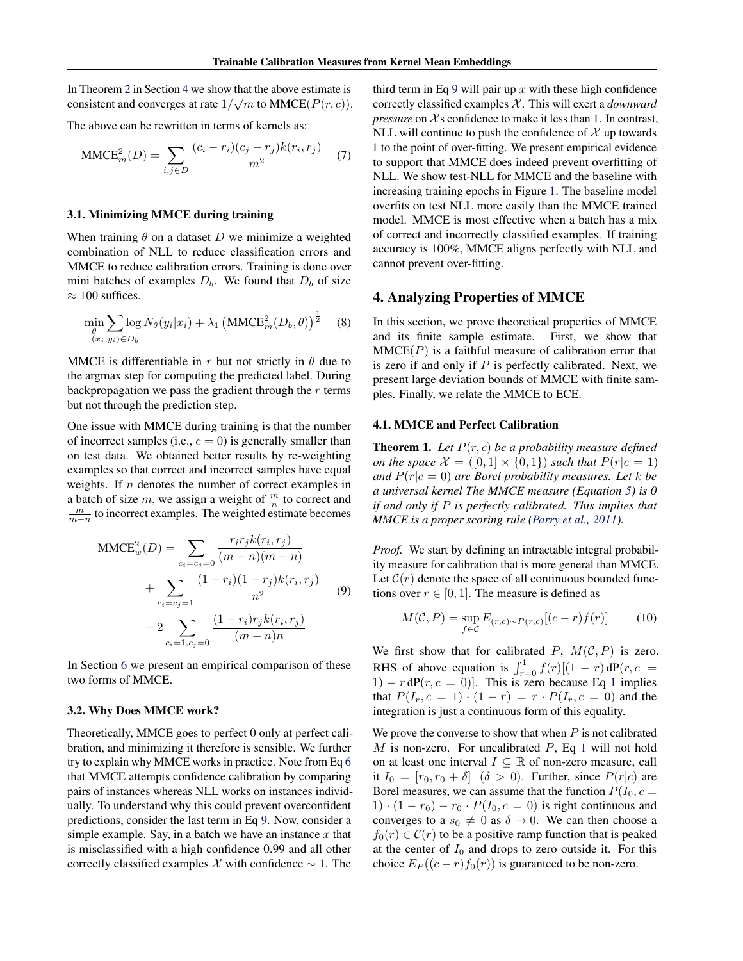<span id="page-2-0"></span>In Theorem [2](#page-3-0) in Section 4 we show that the above estimate is consistent and converges at rate  $1/\sqrt{m}$  to MMCE( $P(r, c)$ ).

The above can be rewritten in terms of kernels as:

$$
\text{MMCE}_{m}^{2}(D) = \sum_{i,j \in D} \frac{(c_i - r_i)(c_j - r_j)k(r_i, r_j)}{m^2} \tag{7}
$$

## 3.1. Minimizing MMCE during training

When training  $\theta$  on a dataset D we minimize a weighted combination of NLL to reduce classification errors and MMCE to reduce calibration errors. Training is done over mini batches of examples  $D_b$ . We found that  $D_b$  of size  $\approx 100$  suffices.

$$
\min_{\substack{\theta \\ (x_i, y_i) \in D_b}} \log N_{\theta}(y_i | x_i) + \lambda_1 \left( \text{MMCE}_m^2(D_b, \theta) \right)^{\frac{1}{2}} \quad (8)
$$

MMCE is differentiable in r but not strictly in  $\theta$  due to the argmax step for computing the predicted label. During backpropagation we pass the gradient through the  $r$  terms but not through the prediction step.

One issue with MMCE during training is that the number of incorrect samples (i.e.,  $c = 0$ ) is generally smaller than on test data. We obtained better results by re-weighting examples so that correct and incorrect samples have equal weights. If  $n$  denotes the number of correct examples in a batch of size m, we assign a weight of  $\frac{m}{n}$  to correct and  $\frac{m}{m-n}$  to incorrect examples. The weighted estimate becomes

MMCE<sup>2</sup><sub>w</sub>(D) = 
$$
\sum_{c_i = c_j = 0} \frac{r_i r_j k(r_i, r_j)}{(m - n)(m - n)}
$$
  
+ 
$$
\sum_{c_i = c_j = 1} \frac{(1 - r_i)(1 - r_j)k(r_i, r_j)}{n^2}
$$
 (9)  
- 2
$$
\sum_{c_i = 1, c_j = 0} \frac{(1 - r_i)r_j k(r_i, r_j)}{(m - n)n}
$$

In Section [6](#page-4-0) we present an empirical comparison of these two forms of MMCE.

#### 3.2. Why Does MMCE work?

Theoretically, MMCE goes to perfect 0 only at perfect calibration, and minimizing it therefore is sensible. We further try to explain why MMCE works in practice. Note from Eq [6](#page-1-0) that MMCE attempts confidence calibration by comparing pairs of instances whereas NLL works on instances individually. To understand why this could prevent overconfident predictions, consider the last term in Eq 9. Now, consider a simple example. Say, in a batch we have an instance  $x$  that is misclassified with a high confidence 0.99 and all other correctly classified examples X with confidence  $\sim$  1. The

third term in Eq 9 will pair up  $x$  with these high confidence correctly classified examples X . This will exert a *downward pressure* on  $X$ s confidence to make it less than 1. In contrast, NLL will continue to push the confidence of  $\mathcal X$  up towards 1 to the point of over-fitting. We present empirical evidence to support that MMCE does indeed prevent overfitting of NLL. We show test-NLL for MMCE and the baseline with increasing training epochs in Figure [1.](#page-3-0) The baseline model overfits on test NLL more easily than the MMCE trained model. MMCE is most effective when a batch has a mix of correct and incorrectly classified examples. If training accuracy is 100%, MMCE aligns perfectly with NLL and cannot prevent over-fitting.

## 4. Analyzing Properties of MMCE

In this section, we prove theoretical properties of MMCE and its finite sample estimate. First, we show that  $MMCE(P)$  is a faithful measure of calibration error that is zero if and only if  $P$  is perfectly calibrated. Next, we present large deviation bounds of MMCE with finite samples. Finally, we relate the MMCE to ECE.

#### 4.1. MMCE and Perfect Calibration

Theorem 1. *Let* P(r, c) *be a probability measure defined on the space*  $\mathcal{X} = ([0,1] \times \{0,1\})$  *such that*  $P(r|c=1)$ *and*  $P(r|c = 0)$  *are Borel probability measures. Let* k *be a universal kernel The MMCE measure (Equation [5\)](#page-1-0) is 0 if and only if* P *is perfectly calibrated. This implies that MMCE is a proper scoring rule [\(Parry et al.,](#page-9-0) [2011\)](#page-9-0).*

*Proof.* We start by defining an intractable integral probability measure for calibration that is more general than MMCE. Let  $C(r)$  denote the space of all continuous bounded functions over  $r \in [0, 1]$ . The measure is defined as

$$
M(C, P) = \sup_{f \in C} E_{(r,c) \sim P(r,c)}[(c - r)f(r)] \tag{10}
$$

We first show that for calibrated P,  $M(C, P)$  is zero. RHS of above equation is  $\int_{r=0}^{1} f(r) [(1 - r) dP(r, c =$ [1](#page-1-0)) –  $r dP(r, c = 0)$ . This is zero because Eq 1 implies that  $P(I_r, c = 1) \cdot (1 - r) = r \cdot P(I_r, c = 0)$  and the integration is just a continuous form of this equality.

We prove the converse to show that when  $P$  is not calibrated  $M$  is non-zero. For uncalibrated  $P$ , Eq [1](#page-1-0) will not hold on at least one interval  $I \subseteq \mathbb{R}$  of non-zero measure, call it  $I_0 = [r_0, r_0 + \delta]$   $(\delta > 0)$ . Further, since  $P(r|c)$  are Borel measures, we can assume that the function  $P(I_0, c =$ 1)  $\cdot$  (1 –  $r_0$ ) –  $r_0 \cdot P(I_0, c = 0)$  is right continuous and converges to a  $s_0 \neq 0$  as  $\delta \rightarrow 0$ . We can then choose a  $f_0(r) \in \mathcal{C}(r)$  to be a positive ramp function that is peaked at the center of  $I_0$  and drops to zero outside it. For this choice  $E_P((c - r)f_0(r))$  is guaranteed to be non-zero.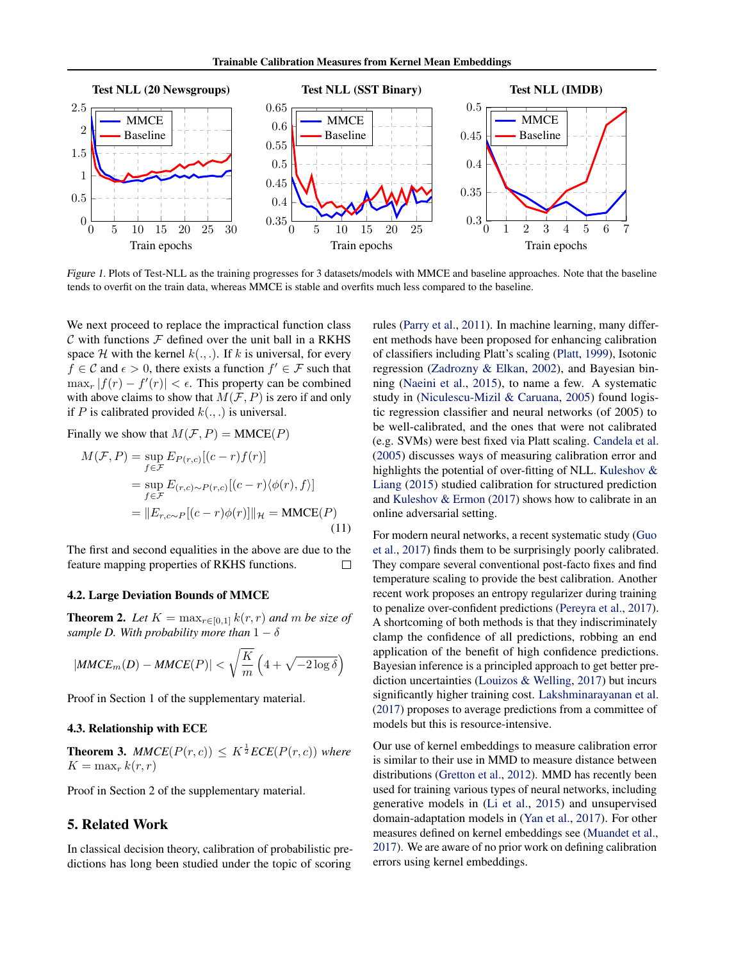<span id="page-3-0"></span>

Figure 1. Plots of Test-NLL as the training progresses for 3 datasets/models with MMCE and baseline approaches. Note that the baseline tends to overfit on the train data, whereas MMCE is stable and overfits much less compared to the baseline.

We next proceed to replace the impractical function class  $C$  with functions  $F$  defined over the unit ball in a RKHS space H with the kernel  $k(.,.)$ . If k is universal, for every  $f \in \mathcal{C}$  and  $\epsilon > 0$ , there exists a function  $f' \in \mathcal{F}$  such that  $\max_r |f(r) - f'(r)| < \epsilon$ . This property can be combined with above claims to show that  $M(F, P)$  is zero if and only if P is calibrated provided  $k(.,.)$  is universal.

Finally we show that  $M(\mathcal{F}, P) = \text{MMCE}(P)$ 

$$
M(\mathcal{F}, P) = \sup_{f \in \mathcal{F}} E_{P(r,c)}[(c-r)f(r)]
$$
  
= 
$$
\sup_{f \in \mathcal{F}} E_{(r,c)\sim P(r,c)}[(c-r)\langle \phi(r), f \rangle]
$$
  
= 
$$
||E_{r,c\sim P}[(c-r)\phi(r)]||_{\mathcal{H}} = \text{MMCE}(P)
$$
(11)

The first and second equalities in the above are due to the feature mapping properties of RKHS functions. □

#### 4.2. Large Deviation Bounds of MMCE

**Theorem 2.** Let  $K = \max_{r \in [0,1]} k(r,r)$  and m be size of *sample D. With probability more than*  $1 - \delta$ 

$$
|MMCE_m(D) - MMCE(P)| < \sqrt{\frac{K}{m}} \left( 4 + \sqrt{-2 \log \delta} \right)
$$

Proof in Section 1 of the supplementary material.

#### 4.3. Relationship with ECE

**Theorem 3.** MMCE( $P(r, c)$ )  $\leq K^{\frac{1}{2}}$ ECE( $P(r, c)$ ) where  $K = \max_r k(r,r)$ 

Proof in Section 2 of the supplementary material.

## 5. Related Work

In classical decision theory, calibration of probabilistic predictions has long been studied under the topic of scoring rules [\(Parry et al.,](#page-9-0) [2011\)](#page-9-0). In machine learning, many different methods have been proposed for enhancing calibration of classifiers including Platt's scaling [\(Platt,](#page-9-0) [1999\)](#page-9-0), Isotonic regression [\(Zadrozny & Elkan,](#page-9-0) [2002\)](#page-9-0), and Bayesian binning [\(Naeini et al.,](#page-9-0) [2015\)](#page-9-0), to name a few. A systematic study in [\(Niculescu-Mizil & Caruana,](#page-9-0) [2005\)](#page-9-0) found logistic regression classifier and neural networks (of 2005) to be well-calibrated, and the ones that were not calibrated (e.g. SVMs) were best fixed via Platt scaling. [Candela et al.](#page-8-0) [\(2005\)](#page-8-0) discusses ways of measuring calibration error and highlights the potential of over-fitting of NLL. [Kuleshov &](#page-8-0) [Liang](#page-8-0) [\(2015\)](#page-8-0) studied calibration for structured prediction and [Kuleshov & Ermon](#page-8-0) [\(2017\)](#page-8-0) shows how to calibrate in an online adversarial setting.

For modern neural networks, a recent systematic study [\(Guo](#page-8-0) [et al.,](#page-8-0) [2017\)](#page-8-0) finds them to be surprisingly poorly calibrated. They compare several conventional post-facto fixes and find temperature scaling to provide the best calibration. Another recent work proposes an entropy regularizer during training to penalize over-confident predictions [\(Pereyra et al.,](#page-9-0) [2017\)](#page-9-0). A shortcoming of both methods is that they indiscriminately clamp the confidence of all predictions, robbing an end application of the benefit of high confidence predictions. Bayesian inference is a principled approach to get better prediction uncertainties [\(Louizos & Welling,](#page-9-0) [2017\)](#page-9-0) but incurs significantly higher training cost. [Lakshminarayanan et al.](#page-8-0) [\(2017\)](#page-8-0) proposes to average predictions from a committee of models but this is resource-intensive.

Our use of kernel embeddings to measure calibration error is similar to their use in MMD to measure distance between distributions [\(Gretton et al.,](#page-8-0) [2012\)](#page-8-0). MMD has recently been used for training various types of neural networks, including generative models in [\(Li et al.,](#page-8-0) [2015\)](#page-8-0) and unsupervised domain-adaptation models in [\(Yan et al.,](#page-9-0) [2017\)](#page-9-0). For other measures defined on kernel embeddings see [\(Muandet et al.,](#page-9-0) [2017\)](#page-9-0). We are aware of no prior work on defining calibration errors using kernel embeddings.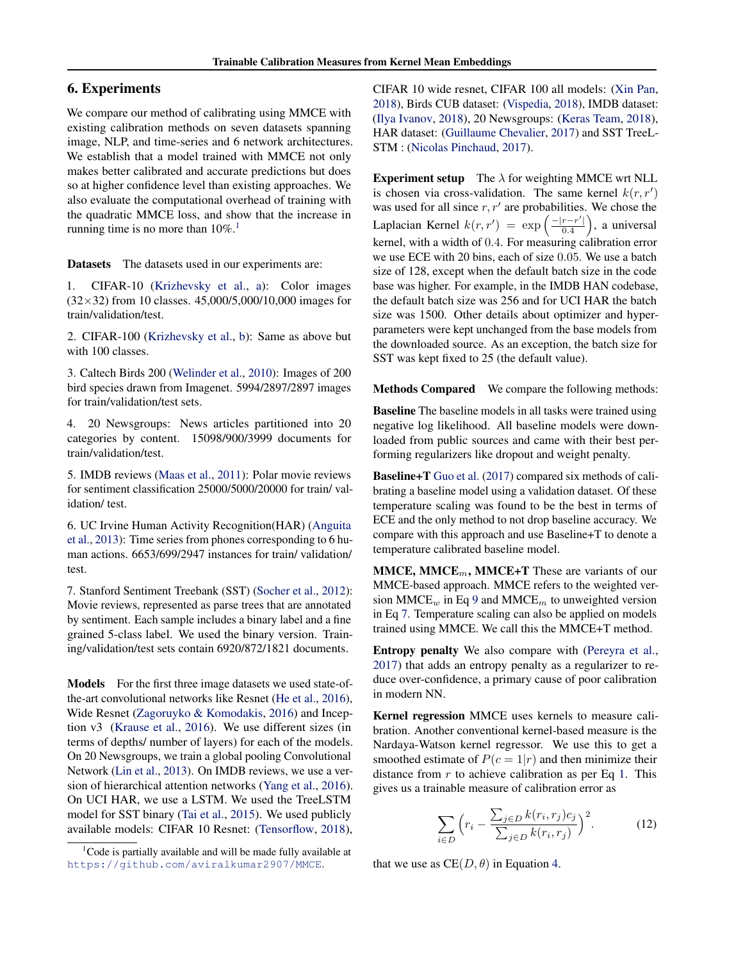## <span id="page-4-0"></span>6. Experiments

We compare our method of calibrating using MMCE with existing calibration methods on seven datasets spanning image, NLP, and time-series and 6 network architectures. We establish that a model trained with MMCE not only makes better calibrated and accurate predictions but does so at higher confidence level than existing approaches. We also evaluate the computational overhead of training with the quadratic MMCE loss, and show that the increase in running time is no more than  $10\%$ <sup>1</sup>

Datasets The datasets used in our experiments are:

1. CIFAR-10 [\(Krizhevsky et al.,](#page-8-0) [a\)](#page-8-0): Color images (32×32) from 10 classes. 45,000/5,000/10,000 images for train/validation/test.

2. CIFAR-100 [\(Krizhevsky et al.,](#page-8-0) [b\)](#page-8-0): Same as above but with 100 classes.

3. Caltech Birds 200 [\(Welinder et al.,](#page-9-0) [2010\)](#page-9-0): Images of 200 bird species drawn from Imagenet. 5994/2897/2897 images for train/validation/test sets.

4. 20 Newsgroups: News articles partitioned into 20 categories by content. 15098/900/3999 documents for train/validation/test.

5. IMDB reviews [\(Maas et al.,](#page-9-0) [2011\)](#page-9-0): Polar movie reviews for sentiment classification 25000/5000/20000 for train/ validation/ test.

6. UC Irvine Human Activity Recognition(HAR) [\(Anguita](#page-8-0) [et al.,](#page-8-0) [2013\)](#page-8-0): Time series from phones corresponding to 6 human actions. 6653/699/2947 instances for train/ validation/ test.

7. Stanford Sentiment Treebank (SST) [\(Socher et al.,](#page-9-0) [2012\)](#page-9-0): Movie reviews, represented as parse trees that are annotated by sentiment. Each sample includes a binary label and a fine grained 5-class label. We used the binary version. Training/validation/test sets contain 6920/872/1821 documents.

Models For the first three image datasets we used state-ofthe-art convolutional networks like Resnet [\(He et al.,](#page-8-0) [2016\)](#page-8-0), Wide Resnet [\(Zagoruyko & Komodakis,](#page-9-0) [2016\)](#page-9-0) and Inception v3 [\(Krause et al.,](#page-8-0) [2016\)](#page-8-0). We use different sizes (in terms of depths/ number of layers) for each of the models. On 20 Newsgroups, we train a global pooling Convolutional Network [\(Lin et al.,](#page-9-0) [2013\)](#page-9-0). On IMDB reviews, we use a version of hierarchical attention networks [\(Yang et al.,](#page-9-0) [2016\)](#page-9-0). On UCI HAR, we use a LSTM. We used the TreeLSTM model for SST binary [\(Tai et al.,](#page-9-0) [2015\)](#page-9-0). We used publicly available models: CIFAR 10 Resnet: [\(Tensorflow,](#page-9-0) [2018\)](#page-9-0), CIFAR 10 wide resnet, CIFAR 100 all models: [\(Xin Pan,](#page-9-0) [2018\)](#page-9-0), Birds CUB dataset: [\(Vispedia,](#page-9-0) [2018\)](#page-9-0), IMDB dataset: [\(Ilya Ivanov,](#page-8-0) [2018\)](#page-8-0), 20 Newsgroups: [\(Keras Team,](#page-8-0) [2018\)](#page-8-0), HAR dataset: [\(Guillaume Chevalier,](#page-8-0) [2017\)](#page-8-0) and SST TreeL-STM : [\(Nicolas Pinchaud,](#page-9-0) [2017\)](#page-9-0).

**Experiment setup** The  $\lambda$  for weighting MMCE wrt NLL is chosen via cross-validation. The same kernel  $k(r, r')$ was used for all since  $r, r'$  are probabilities. We chose the Laplacian Kernel  $k(r, r') = \exp \left( \frac{-|r - r'|}{0.4} \right)$  $\frac{r-r'}{0.4}$ , a universal kernel, with a width of 0.4. For measuring calibration error we use ECE with 20 bins, each of size 0.05. We use a batch size of 128, except when the default batch size in the code base was higher. For example, in the IMDB HAN codebase, the default batch size was 256 and for UCI HAR the batch size was 1500. Other details about optimizer and hyperparameters were kept unchanged from the base models from the downloaded source. As an exception, the batch size for SST was kept fixed to 25 (the default value).

Methods Compared We compare the following methods:

Baseline The baseline models in all tasks were trained using negative log likelihood. All baseline models were downloaded from public sources and came with their best performing regularizers like dropout and weight penalty.

Baseline+T [Guo et al.](#page-8-0) [\(2017\)](#page-8-0) compared six methods of calibrating a baseline model using a validation dataset. Of these temperature scaling was found to be the best in terms of ECE and the only method to not drop baseline accuracy. We compare with this approach and use Baseline+T to denote a temperature calibrated baseline model.

 $MMCE$ ,  $MMCE<sub>m</sub>$ ,  $MMCE+T$  These are variants of our MMCE-based approach. MMCE refers to the weighted version  $MMCE_w$  in Eq [9](#page-2-0) and  $MMCE_m$  to unweighted version in Eq [7.](#page-2-0) Temperature scaling can also be applied on models trained using MMCE. We call this the MMCE+T method.

Entropy penalty We also compare with [\(Pereyra et al.,](#page-9-0) [2017\)](#page-9-0) that adds an entropy penalty as a regularizer to reduce over-confidence, a primary cause of poor calibration in modern NN.

Kernel regression MMCE uses kernels to measure calibration. Another conventional kernel-based measure is the Nardaya-Watson kernel regressor. We use this to get a smoothed estimate of  $P(c = 1|r)$  and then minimize their distance from  $r$  to achieve calibration as per Eq [1.](#page-1-0) This gives us a trainable measure of calibration error as

$$
\sum_{i \in D} \left( r_i - \frac{\sum_{j \in D} k(r_i, r_j) c_j}{\sum_{j \in D} k(r_i, r_j)} \right)^2.
$$
 (12)

that we use as  $CE(D, \theta)$  in Equation [4.](#page-1-0)

 $1^1$ Code is partially available and will be made fully available at <https://github.com/aviralkumar2907/MMCE>.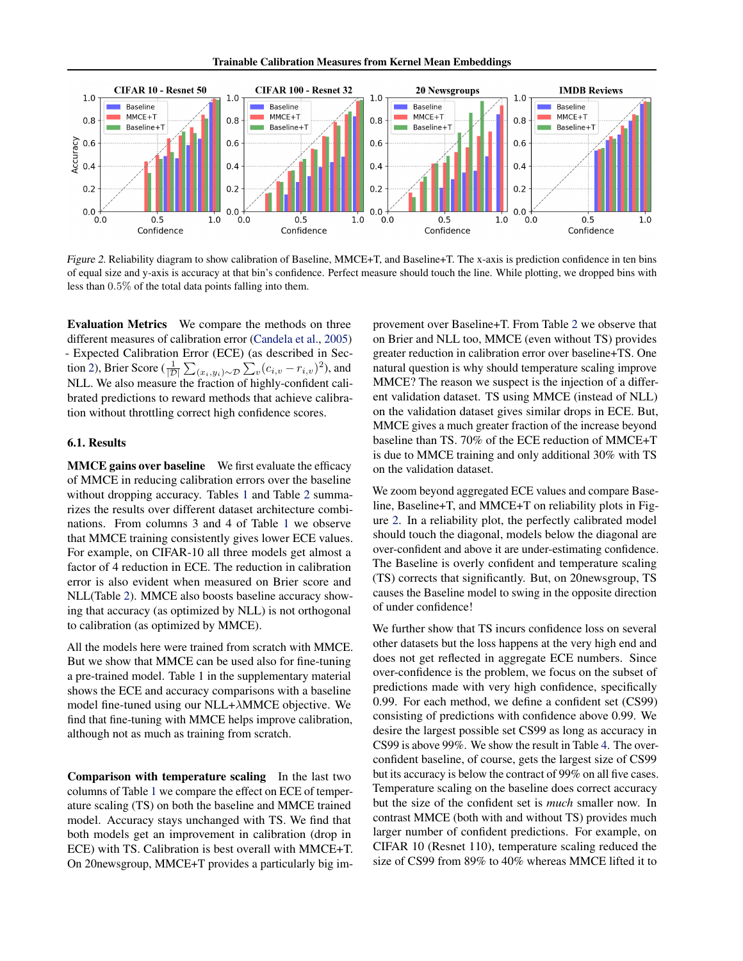

Figure 2. Reliability diagram to show calibration of Baseline, MMCE+T, and Baseline+T. The x-axis is prediction confidence in ten bins of equal size and y-axis is accuracy at that bin's confidence. Perfect measure should touch the line. While plotting, we dropped bins with less than 0.5% of the total data points falling into them.

Evaluation Metrics We compare the methods on three different measures of calibration error [\(Candela et al.,](#page-8-0) [2005\)](#page-8-0) - Expected Calibration Error (ECE) (as described in Sec-tion [2\)](#page-1-0), Brier Score ( $\frac{1}{|D|} \sum_{(x_i,y_i)\sim D} \sum_{v} (c_{i,v} - r_{i,v})^2$ ), and NLL. We also measure the fraction of highly-confident calibrated predictions to reward methods that achieve calibration without throttling correct high confidence scores.

#### 6.1. Results

MMCE gains over baseline We first evaluate the efficacy of MMCE in reducing calibration errors over the baseline without dropping accuracy. Tables [1](#page-6-0) and Table [2](#page-6-0) summarizes the results over different dataset architecture combinations. From columns 3 and 4 of Table [1](#page-6-0) we observe that MMCE training consistently gives lower ECE values. For example, on CIFAR-10 all three models get almost a factor of 4 reduction in ECE. The reduction in calibration error is also evident when measured on Brier score and NLL(Table [2\)](#page-6-0). MMCE also boosts baseline accuracy showing that accuracy (as optimized by NLL) is not orthogonal to calibration (as optimized by MMCE).

All the models here were trained from scratch with MMCE. But we show that MMCE can be used also for fine-tuning a pre-trained model. Table 1 in the supplementary material shows the ECE and accuracy comparisons with a baseline model fine-tuned using our  $NLL+\lambda MMCE$  objective. We find that fine-tuning with MMCE helps improve calibration, although not as much as training from scratch.

Comparison with temperature scaling In the last two columns of Table [1](#page-6-0) we compare the effect on ECE of temperature scaling (TS) on both the baseline and MMCE trained model. Accuracy stays unchanged with TS. We find that both models get an improvement in calibration (drop in ECE) with TS. Calibration is best overall with MMCE+T. On 20newsgroup, MMCE+T provides a particularly big improvement over Baseline+T. From Table [2](#page-6-0) we observe that on Brier and NLL too, MMCE (even without TS) provides greater reduction in calibration error over baseline+TS. One natural question is why should temperature scaling improve MMCE? The reason we suspect is the injection of a different validation dataset. TS using MMCE (instead of NLL) on the validation dataset gives similar drops in ECE. But, MMCE gives a much greater fraction of the increase beyond baseline than TS. 70% of the ECE reduction of MMCE+T is due to MMCE training and only additional 30% with TS on the validation dataset.

We zoom beyond aggregated ECE values and compare Baseline, Baseline+T, and MMCE+T on reliability plots in Figure 2. In a reliability plot, the perfectly calibrated model should touch the diagonal, models below the diagonal are over-confident and above it are under-estimating confidence. The Baseline is overly confident and temperature scaling (TS) corrects that significantly. But, on 20newsgroup, TS causes the Baseline model to swing in the opposite direction of under confidence!

We further show that TS incurs confidence loss on several other datasets but the loss happens at the very high end and does not get reflected in aggregate ECE numbers. Since over-confidence is the problem, we focus on the subset of predictions made with very high confidence, specifically 0.99. For each method, we define a confident set (CS99) consisting of predictions with confidence above 0.99. We desire the largest possible set CS99 as long as accuracy in CS99 is above 99%. We show the result in Table [4.](#page-7-0) The overconfident baseline, of course, gets the largest size of CS99 but its accuracy is below the contract of 99% on all five cases. Temperature scaling on the baseline does correct accuracy but the size of the confident set is *much* smaller now. In contrast MMCE (both with and without TS) provides much larger number of confident predictions. For example, on CIFAR 10 (Resnet 110), temperature scaling reduced the size of CS99 from 89% to 40% whereas MMCE lifted it to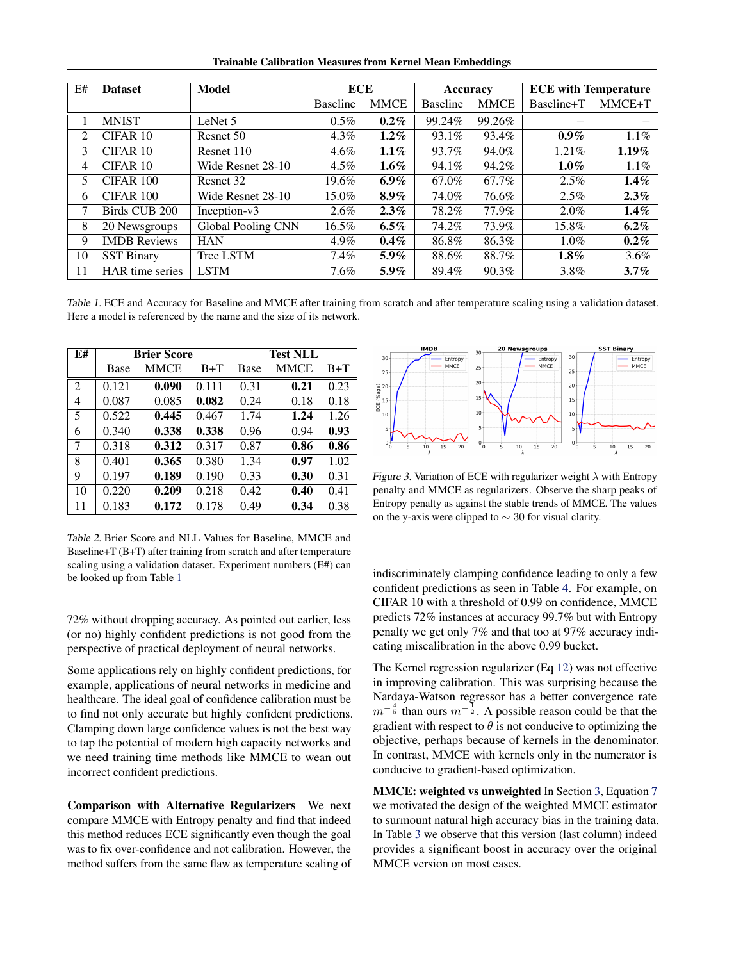Trainable Calibration Measures from Kernel Mean Embeddings

<span id="page-6-0"></span>

| E# | <b>Dataset</b>      | Model              | ECE             |             | Accuracy        |             | <b>ECE with Temperature</b> |          |  |
|----|---------------------|--------------------|-----------------|-------------|-----------------|-------------|-----------------------------|----------|--|
|    |                     |                    | <b>Baseline</b> | <b>MMCE</b> | <b>Baseline</b> | <b>MMCE</b> | Baseline+T                  | $MMCE+T$ |  |
|    | <b>MNIST</b>        | LeNet <sub>5</sub> | $0.5\%$         | $0.2\%$     | 99.24%          | 99.26%      |                             |          |  |
| 2  | CIFAR 10            | Resnet 50          | $4.3\%$         | $1.2\%$     | 93.1%           | 93.4%       | $0.9\%$                     | $1.1\%$  |  |
| 3  | CIFAR 10            | Resnet 110         | $4.6\%$         | $1.1\%$     | 93.7%           | 94.0%       | 1.21%                       | $1.19\%$ |  |
| 4  | CIFAR 10            | Wide Resnet 28-10  | $4.5\%$         | $1.6\%$     | 94.1%           | 94.2%       | $1.0\%$                     | $1.1\%$  |  |
| 5  | CIFAR 100           | Resnet 32          | $19.6\%$        | 6.9%        | 67.0%           | 67.7%       | 2.5%                        | $1.4\%$  |  |
| 6  | CIFAR 100           | Wide Resnet 28-10  | $15.0\%$        | $8.9\%$     | 74.0%           | 76.6%       | 2.5%                        | $2.3\%$  |  |
| 7  | Birds CUB 200       | Inception-v3       | $2.6\%$         | $2.3\%$     | 78.2%           | 77.9%       | $2.0\%$                     | $1.4\%$  |  |
| 8  | 20 Newsgroups       | Global Pooling CNN | $16.5\%$        | $6.5\%$     | 74.2%           | 73.9%       | 15.8%                       | $6.2\%$  |  |
| 9  | <b>IMDB</b> Reviews | <b>HAN</b>         | $4.9\%$         | $0.4\%$     | 86.8%           | 86.3%       | $1.0\%$                     | $0.2\%$  |  |
| 10 | <b>SST Binary</b>   | <b>Tree LSTM</b>   | $7.4\%$         | $5.9\%$     | 88.6%           | 88.7%       | $1.8\%$                     | $3.6\%$  |  |
| 11 | HAR time series     | <b>LSTM</b>        | $7.6\%$         | $5.9\%$     | 89.4%           | 90.3%       | 3.8%                        | $3.7\%$  |  |

Table 1. ECE and Accuracy for Baseline and MMCE after training from scratch and after temperature scaling using a validation dataset. Here a model is referenced by the name and the size of its network.

| E# |       | <b>Brier Score</b> |       | <b>Test NLL</b> |      |       |  |  |
|----|-------|--------------------|-------|-----------------|------|-------|--|--|
|    | Base  | MMCE               | $B+T$ | Base            | MMCE | $B+T$ |  |  |
| 2  | 0.121 | 0.090              | 0.111 | 0.31            | 0.21 | 0.23  |  |  |
| 4  | 0.087 | 0.085              | 0.082 | 0.24            | 0.18 | 0.18  |  |  |
| 5  | 0.522 | 0.445              | 0.467 | 1.74            | 1.24 | 1.26  |  |  |
| 6  | 0.340 | 0.338              | 0.338 | 0.96            | 0.94 | 0.93  |  |  |
| 7  | 0.318 | 0.312              | 0.317 | 0.87            | 0.86 | 0.86  |  |  |
| 8  | 0.401 | 0.365              | 0.380 | 1.34            | 0.97 | 1.02  |  |  |
| 9  | 0.197 | 0.189              | 0.190 | 0.33            | 0.30 | 0.31  |  |  |
| 10 | 0.220 | 0.209              | 0.218 | 0.42            | 0.40 | 0.41  |  |  |
| 11 | 0.183 | 0.172              | 0.178 | 0.49            | 0.34 | 0.38  |  |  |

Table 2. Brier Score and NLL Values for Baseline, MMCE and Baseline+T (B+T) after training from scratch and after temperature scaling using a validation dataset. Experiment numbers (E#) can be looked up from Table 1

72% without dropping accuracy. As pointed out earlier, less (or no) highly confident predictions is not good from the perspective of practical deployment of neural networks.

Some applications rely on highly confident predictions, for example, applications of neural networks in medicine and healthcare. The ideal goal of confidence calibration must be to find not only accurate but highly confident predictions. Clamping down large confidence values is not the best way to tap the potential of modern high capacity networks and we need training time methods like MMCE to wean out incorrect confident predictions.

Comparison with Alternative Regularizers We next compare MMCE with Entropy penalty and find that indeed this method reduces ECE significantly even though the goal was to fix over-confidence and not calibration. However, the method suffers from the same flaw as temperature scaling of



Figure 3. Variation of ECE with regularizer weight  $\lambda$  with Entropy penalty and MMCE as regularizers. Observe the sharp peaks of Entropy penalty as against the stable trends of MMCE. The values on the y-axis were clipped to  $\sim$  30 for visual clarity.

indiscriminately clamping confidence leading to only a few confident predictions as seen in Table [4.](#page-7-0) For example, on CIFAR 10 with a threshold of 0.99 on confidence, MMCE predicts 72% instances at accuracy 99.7% but with Entropy penalty we get only 7% and that too at 97% accuracy indicating miscalibration in the above 0.99 bucket.

The Kernel regression regularizer (Eq [12\)](#page-4-0) was not effective in improving calibration. This was surprising because the Nardaya-Watson regressor has a better convergence rate  $m^{-\frac{4}{5}}$  than ours  $m^{-\frac{1}{2}}$ . A possible reason could be that the gradient with respect to  $\theta$  is not conducive to optimizing the objective, perhaps because of kernels in the denominator. In contrast, MMCE with kernels only in the numerator is conducive to gradient-based optimization.

MMCE: weighted vs unweighted In Section [3,](#page-1-0) Equation [7](#page-2-0) we motivated the design of the weighted MMCE estimator to surmount natural high accuracy bias in the training data. In Table [3](#page-7-0) we observe that this version (last column) indeed provides a significant boost in accuracy over the original MMCE version on most cases.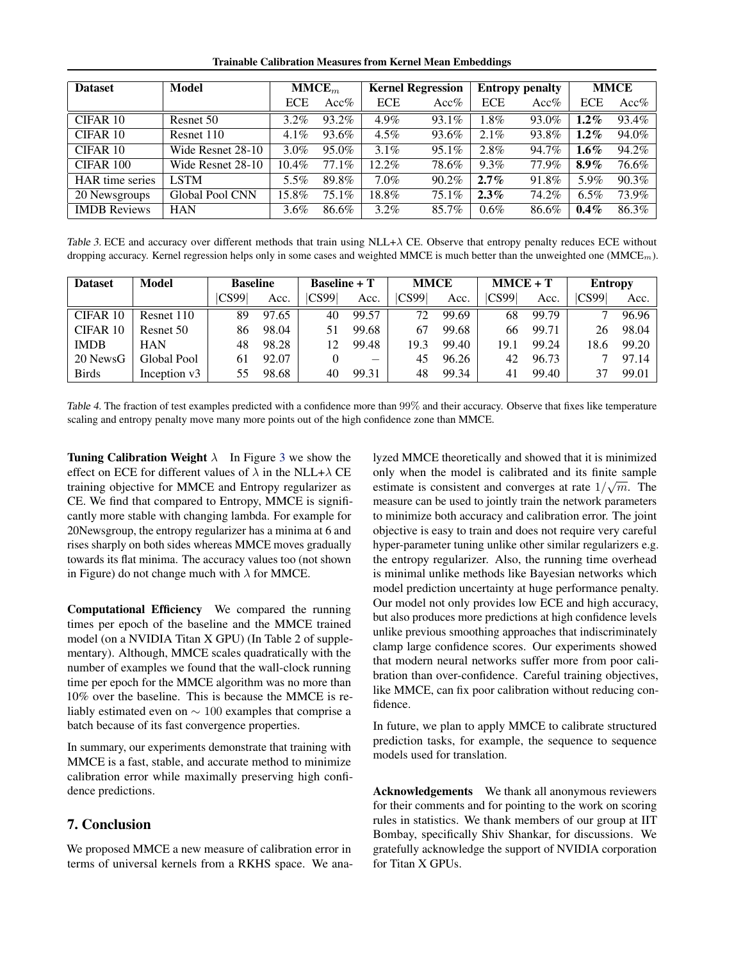Trainable Calibration Measures from Kernel Mean Embeddings

<span id="page-7-0"></span>

| <b>Dataset</b>         | Model                  | M MCE <sub>m</sub> |          | <b>Kernel Regression</b> |          | <b>Entropy penalty</b> |       | <b>MMCE</b> |         |
|------------------------|------------------------|--------------------|----------|--------------------------|----------|------------------------|-------|-------------|---------|
|                        |                        | <b>ECE</b>         | Acc%     | <b>ECE</b>               | Acc%     | <b>ECE</b>             | Acc%  | <b>ECE</b>  | $Acc\%$ |
| CIFAR 10               | Resnet 50              | $3.2\%$            | 93.2%    | 4.9%                     | $93.1\%$ | $1.8\%$                | 93.0% | $1.2\%$     | 93.4%   |
| CIFAR 10               | Resnet 110             | $4.1\%$            | 93.6%    | $4.5\%$                  | 93.6%    | 2.1%                   | 93.8% | $1.2\%$     | 94.0%   |
| CIFAR 10               | Wide Resnet 28-10      | $3.0\%$            | 95.0%    | $3.1\%$                  | $95.1\%$ | 2.8%                   | 94.7% | $1.6\%$     | 94.2%   |
| CIFAR 100              | Wide Resnet 28-10      | 10.4%              | $77.1\%$ | 12.2%                    | 78.6%    | $9.3\%$                | 77.9% | $8.9\%$     | 76.6%   |
| <b>HAR</b> time series | <b>LSTM</b>            | 5.5%               | 89.8%    | $7.0\%$                  | 90.2%    | $2.7\%$                | 91.8% | 5.9%        | 90.3%   |
| 20 Newsgroups          | <b>Global Pool CNN</b> | 15.8%              | $75.1\%$ | 18.8%                    | 75.1%    | $2.3\%$                | 74.2% | $6.5\%$     | 73.9%   |
| <b>IMDB</b> Reviews    | <b>HAN</b>             | $3.6\%$            | 86.6%    | $3.2\%$                  | 85.7%    | $0.6\%$                | 86.6% | $0.4\%$     | 86.3%   |

Table 3. ECE and accuracy over different methods that train using NLL+ $\lambda$  CE. Observe that entropy penalty reduces ECE without dropping accuracy. Kernel regression helps only in some cases and weighted MMCE is much better than the unweighted one (MMCE<sub>m</sub>).

| <b>Dataset</b> | Model                    | <b>Baseline</b> |       | <b>Baseline + T</b> |                                 | <b>MMCE</b> |       | $MMCE + T$ |       | <b>Entropy</b> |       |
|----------------|--------------------------|-----------------|-------|---------------------|---------------------------------|-------------|-------|------------|-------|----------------|-------|
|                |                          | CS99            | Acc.  | CS99                | Acc.                            | CS99        | Acc.  | CS99       | Acc.  | CS99           | Acc.  |
| CIFAR 10       | Resnet 110               | 89              | 97.65 | 40                  | 99.57                           | 72          | 99.69 | 68         | 99.79 |                | 96.96 |
| CIFAR 10       | Resnet 50                | 86              | 98.04 | 51                  | 99.68                           | 67          | 99.68 | 66         | 99.71 | 26             | 98.04 |
| <b>IMDB</b>    | <b>HAN</b>               | 48              | 98.28 | 12                  | 99.48                           | 19.3        | 99.40 | 19.1       | 99.24 | 18.6           | 99.20 |
| 20 NewsG       | Global Pool              | 61              | 92.07 |                     | $\hspace{0.1mm}-\hspace{0.1mm}$ | 45          | 96.26 | 42         | 96.73 |                | 97.14 |
| <b>Birds</b>   | Inception v <sub>3</sub> | 55              | 98.68 | 40                  | 99.31                           | 48          | 99.34 | 41         | 99.40 | 37             | 99.01 |

Table 4. The fraction of test examples predicted with a confidence more than 99% and their accuracy. Observe that fixes like temperature scaling and entropy penalty move many more points out of the high confidence zone than MMCE.

**Tuning Calibration Weight**  $\lambda$  In Figure [3](#page-6-0) we show the effect on ECE for different values of  $\lambda$  in the NLL+ $\lambda$  CE training objective for MMCE and Entropy regularizer as CE. We find that compared to Entropy, MMCE is significantly more stable with changing lambda. For example for 20Newsgroup, the entropy regularizer has a minima at 6 and rises sharply on both sides whereas MMCE moves gradually towards its flat minima. The accuracy values too (not shown in Figure) do not change much with  $\lambda$  for MMCE.

Computational Efficiency We compared the running times per epoch of the baseline and the MMCE trained model (on a NVIDIA Titan X GPU) (In Table 2 of supplementary). Although, MMCE scales quadratically with the number of examples we found that the wall-clock running time per epoch for the MMCE algorithm was no more than 10% over the baseline. This is because the MMCE is reliably estimated even on ∼ 100 examples that comprise a batch because of its fast convergence properties.

In summary, our experiments demonstrate that training with MMCE is a fast, stable, and accurate method to minimize calibration error while maximally preserving high confidence predictions.

## 7. Conclusion

We proposed MMCE a new measure of calibration error in terms of universal kernels from a RKHS space. We analyzed MMCE theoretically and showed that it is minimized only when the model is calibrated and its finite sample estimate is consistent and converges at rate  $1/\sqrt{m}$ . The measure can be used to jointly train the network parameters to minimize both accuracy and calibration error. The joint objective is easy to train and does not require very careful hyper-parameter tuning unlike other similar regularizers e.g. the entropy regularizer. Also, the running time overhead is minimal unlike methods like Bayesian networks which model prediction uncertainty at huge performance penalty. Our model not only provides low ECE and high accuracy, but also produces more predictions at high confidence levels unlike previous smoothing approaches that indiscriminately clamp large confidence scores. Our experiments showed that modern neural networks suffer more from poor calibration than over-confidence. Careful training objectives, like MMCE, can fix poor calibration without reducing confidence.

In future, we plan to apply MMCE to calibrate structured prediction tasks, for example, the sequence to sequence models used for translation.

Acknowledgements We thank all anonymous reviewers for their comments and for pointing to the work on scoring rules in statistics. We thank members of our group at IIT Bombay, specifically Shiv Shankar, for discussions. We gratefully acknowledge the support of NVIDIA corporation for Titan X GPUs.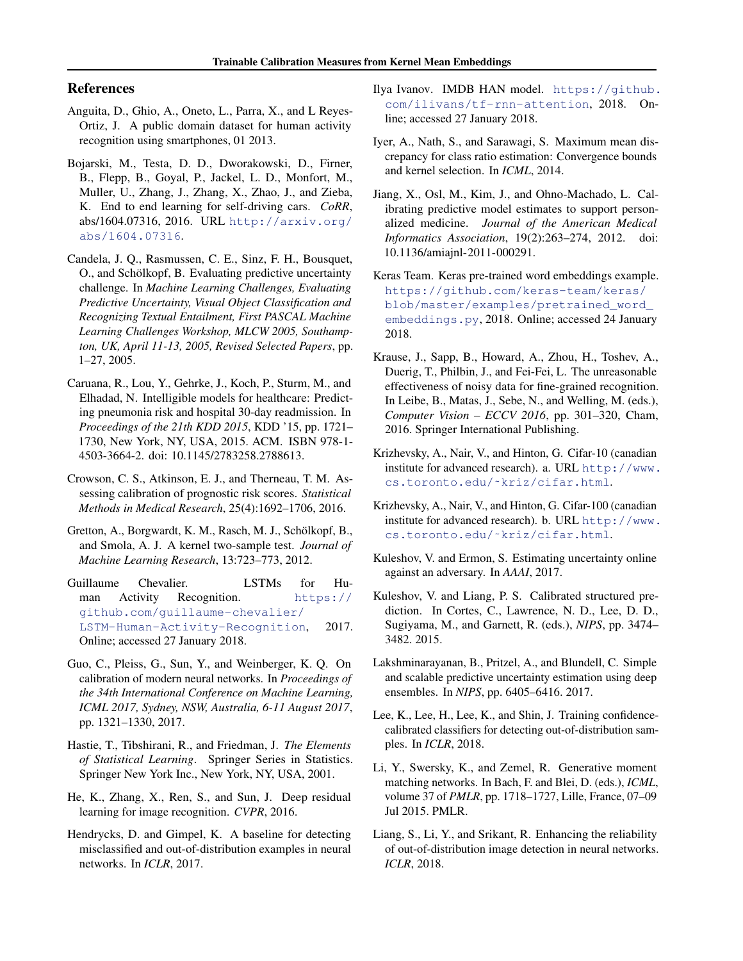## <span id="page-8-0"></span>References

- Anguita, D., Ghio, A., Oneto, L., Parra, X., and L Reyes-Ortiz, J. A public domain dataset for human activity recognition using smartphones, 01 2013.
- Bojarski, M., Testa, D. D., Dworakowski, D., Firner, B., Flepp, B., Goyal, P., Jackel, L. D., Monfort, M., Muller, U., Zhang, J., Zhang, X., Zhao, J., and Zieba, K. End to end learning for self-driving cars. *CoRR*, abs/1604.07316, 2016. URL [http://arxiv.org/](http://arxiv.org/abs/1604.07316) [abs/1604.07316](http://arxiv.org/abs/1604.07316).
- Candela, J. Q., Rasmussen, C. E., Sinz, F. H., Bousquet, O., and Schölkopf, B. Evaluating predictive uncertainty challenge. In *Machine Learning Challenges, Evaluating Predictive Uncertainty, Visual Object Classification and Recognizing Textual Entailment, First PASCAL Machine Learning Challenges Workshop, MLCW 2005, Southampton, UK, April 11-13, 2005, Revised Selected Papers*, pp. 1–27, 2005.
- Caruana, R., Lou, Y., Gehrke, J., Koch, P., Sturm, M., and Elhadad, N. Intelligible models for healthcare: Predicting pneumonia risk and hospital 30-day readmission. In *Proceedings of the 21th KDD 2015*, KDD '15, pp. 1721– 1730, New York, NY, USA, 2015. ACM. ISBN 978-1- 4503-3664-2. doi: 10.1145/2783258.2788613.
- Crowson, C. S., Atkinson, E. J., and Therneau, T. M. Assessing calibration of prognostic risk scores. *Statistical Methods in Medical Research*, 25(4):1692–1706, 2016.
- Gretton, A., Borgwardt, K. M., Rasch, M. J., Schölkopf, B., and Smola, A. J. A kernel two-sample test. *Journal of Machine Learning Research*, 13:723–773, 2012.
- Guillaume Chevalier. LSTMs for Human Activity Recognition. [https://]( https://github.com/guillaume-chevalier/LSTM-Human-Activity-Recognition) [github.com/guillaume-chevalier/]( https://github.com/guillaume-chevalier/LSTM-Human-Activity-Recognition) [LSTM-Human-Activity-Recognition]( https://github.com/guillaume-chevalier/LSTM-Human-Activity-Recognition), 2017. Online; accessed 27 January 2018.
- Guo, C., Pleiss, G., Sun, Y., and Weinberger, K. Q. On calibration of modern neural networks. In *Proceedings of the 34th International Conference on Machine Learning, ICML 2017, Sydney, NSW, Australia, 6-11 August 2017*, pp. 1321–1330, 2017.
- Hastie, T., Tibshirani, R., and Friedman, J. *The Elements of Statistical Learning*. Springer Series in Statistics. Springer New York Inc., New York, NY, USA, 2001.
- He, K., Zhang, X., Ren, S., and Sun, J. Deep residual learning for image recognition. *CVPR*, 2016.
- Hendrycks, D. and Gimpel, K. A baseline for detecting misclassified and out-of-distribution examples in neural networks. In *ICLR*, 2017.
- Ilya Ivanov. IMDB HAN model. [https://github.](https://github.com/ilivans/tf-rnn-attention) [com/ilivans/tf-rnn-attention](https://github.com/ilivans/tf-rnn-attention), 2018. Online; accessed 27 January 2018.
- Iyer, A., Nath, S., and Sarawagi, S. Maximum mean discrepancy for class ratio estimation: Convergence bounds and kernel selection. In *ICML*, 2014.
- Jiang, X., Osl, M., Kim, J., and Ohno-Machado, L. Calibrating predictive model estimates to support personalized medicine. *Journal of the American Medical Informatics Association*, 19(2):263–274, 2012. doi: 10.1136/amiajnl-2011-000291.
- Keras Team. Keras pre-trained word embeddings example. [https://github.com/keras-team/keras/](https://github.com/keras-team/keras/blob/master/examples/pretrained_word_embeddings.py) [blob/master/examples/pretrained\\_word\\_](https://github.com/keras-team/keras/blob/master/examples/pretrained_word_embeddings.py) [embeddings.py](https://github.com/keras-team/keras/blob/master/examples/pretrained_word_embeddings.py), 2018. Online; accessed 24 January 2018.
- Krause, J., Sapp, B., Howard, A., Zhou, H., Toshev, A., Duerig, T., Philbin, J., and Fei-Fei, L. The unreasonable effectiveness of noisy data for fine-grained recognition. In Leibe, B., Matas, J., Sebe, N., and Welling, M. (eds.), *Computer Vision – ECCV 2016*, pp. 301–320, Cham, 2016. Springer International Publishing.
- Krizhevsky, A., Nair, V., and Hinton, G. Cifar-10 (canadian institute for advanced research). a. URL [http://www.](http://www.cs.toronto.edu/~kriz/cifar.html) [cs.toronto.edu/˜kriz/cifar.html](http://www.cs.toronto.edu/~kriz/cifar.html).
- Krizhevsky, A., Nair, V., and Hinton, G. Cifar-100 (canadian institute for advanced research). b. URL [http://www.](http://www.cs.toronto.edu/~kriz/cifar.html) [cs.toronto.edu/˜kriz/cifar.html](http://www.cs.toronto.edu/~kriz/cifar.html).
- Kuleshov, V. and Ermon, S. Estimating uncertainty online against an adversary. In *AAAI*, 2017.
- Kuleshov, V. and Liang, P. S. Calibrated structured prediction. In Cortes, C., Lawrence, N. D., Lee, D. D., Sugiyama, M., and Garnett, R. (eds.), *NIPS*, pp. 3474– 3482. 2015.
- Lakshminarayanan, B., Pritzel, A., and Blundell, C. Simple and scalable predictive uncertainty estimation using deep ensembles. In *NIPS*, pp. 6405–6416. 2017.
- Lee, K., Lee, H., Lee, K., and Shin, J. Training confidencecalibrated classifiers for detecting out-of-distribution samples. In *ICLR*, 2018.
- Li, Y., Swersky, K., and Zemel, R. Generative moment matching networks. In Bach, F. and Blei, D. (eds.), *ICML*, volume 37 of *PMLR*, pp. 1718–1727, Lille, France, 07–09 Jul 2015. PMLR.
- Liang, S., Li, Y., and Srikant, R. Enhancing the reliability of out-of-distribution image detection in neural networks. *ICLR*, 2018.